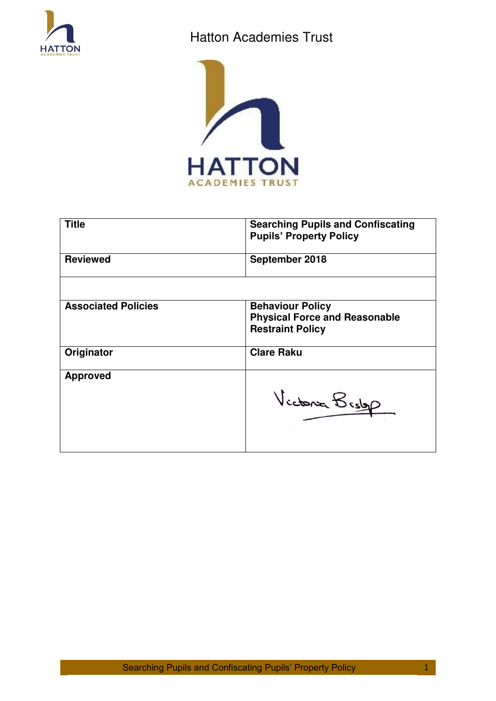

# Hatton Academies Trust



| <b>Title</b>               | <b>Searching Pupils and Confiscating</b><br><b>Pupils' Property Policy</b>                 |  |
|----------------------------|--------------------------------------------------------------------------------------------|--|
| <b>Reviewed</b>            | September 2018                                                                             |  |
|                            |                                                                                            |  |
| <b>Associated Policies</b> | <b>Behaviour Policy</b><br><b>Physical Force and Reasonable</b><br><b>Restraint Policy</b> |  |
| Originator                 | <b>Clare Raku</b>                                                                          |  |
| <b>Approved</b>            | Victoria Bistop                                                                            |  |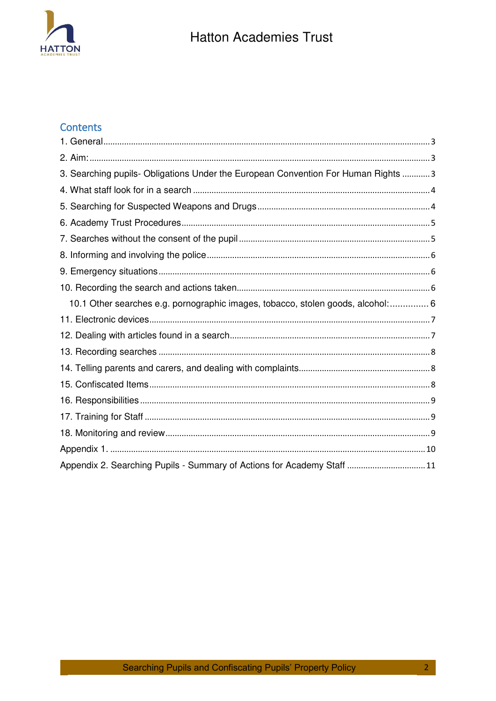

# Contents

| 3. Searching pupils- Obligations Under the European Convention For Human Rights  3 |  |
|------------------------------------------------------------------------------------|--|
|                                                                                    |  |
|                                                                                    |  |
|                                                                                    |  |
|                                                                                    |  |
|                                                                                    |  |
|                                                                                    |  |
|                                                                                    |  |
| 10.1 Other searches e.g. pornographic images, tobacco, stolen goods, alcohol: 6    |  |
|                                                                                    |  |
|                                                                                    |  |
|                                                                                    |  |
|                                                                                    |  |
|                                                                                    |  |
|                                                                                    |  |
|                                                                                    |  |
|                                                                                    |  |
|                                                                                    |  |
| Appendix 2. Searching Pupils - Summary of Actions for Academy Staff 11             |  |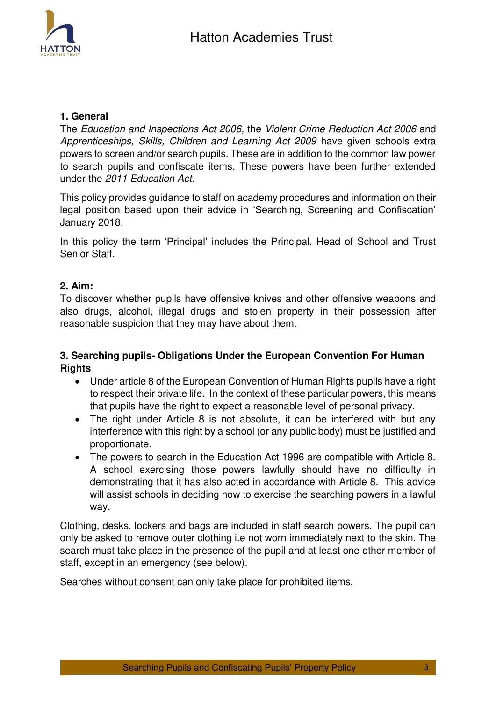

## <span id="page-2-0"></span>**1. General**

The *Education and Inspections Act 2006,* the *Violent Crime Reduction Act 2006* and *Apprenticeships, Skills, Children and Learning Act 2009* have given schools extra powers to screen and/or search pupils. These are in addition to the common law power to search pupils and confiscate items. These powers have been further extended under the *2011 Education Act.* 

This policy provides guidance to staff on academy procedures and information on their legal position based upon their advice in 'Searching, Screening and Confiscation' January 2018.

In this policy the term 'Principal' includes the Principal, Head of School and Trust Senior Staff.

### <span id="page-2-1"></span>**2. Aim:**

To discover whether pupils have offensive knives and other offensive weapons and also drugs, alcohol, illegal drugs and stolen property in their possession after reasonable suspicion that they may have about them.

# <span id="page-2-2"></span>**3. Searching pupils- Obligations Under the European Convention For Human Rights**

- Under article 8 of the European Convention of Human Rights pupils have a right to respect their private life. In the context of these particular powers, this means that pupils have the right to expect a reasonable level of personal privacy.
- The right under Article 8 is not absolute, it can be interfered with but any interference with this right by a school (or any public body) must be justified and proportionate.
- The powers to search in the Education Act 1996 are compatible with Article 8. A school exercising those powers lawfully should have no difficulty in demonstrating that it has also acted in accordance with Article 8. This advice will assist schools in deciding how to exercise the searching powers in a lawful way.

Clothing, desks, lockers and bags are included in staff search powers. The pupil can only be asked to remove outer clothing i.e not worn immediately next to the skin. The search must take place in the presence of the pupil and at least one other member of staff, except in an emergency (see below).

Searches without consent can only take place for prohibited items.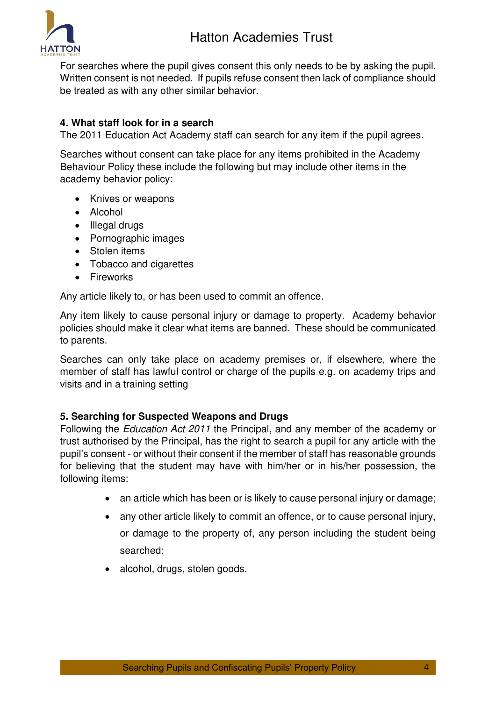



For searches where the pupil gives consent this only needs to be by asking the pupil. Written consent is not needed. If pupils refuse consent then lack of compliance should be treated as with any other similar behavior.

# <span id="page-3-0"></span>**4. What staff look for in a search**

The 2011 Education Act Academy staff can search for any item if the pupil agrees.

Searches without consent can take place for any items prohibited in the Academy Behaviour Policy these include the following but may include other items in the academy behavior policy:

- Knives or weapons
- Alcohol
- Illegal drugs
- Pornographic images
- Stolen items
- Tobacco and cigarettes
- Fireworks

Any article likely to, or has been used to commit an offence.

Any item likely to cause personal injury or damage to property. Academy behavior policies should make it clear what items are banned. These should be communicated to parents.

Searches can only take place on academy premises or, if elsewhere, where the member of staff has lawful control or charge of the pupils e.g. on academy trips and visits and in a training setting

#### <span id="page-3-1"></span>**5. Searching for Suspected Weapons and Drugs**

Following the *Education Act 2011* the Principal, and any member of the academy or trust authorised by the Principal, has the right to search a pupil for any article with the pupil's consent - or without their consent if the member of staff has reasonable grounds for believing that the student may have with him/her or in his/her possession, the following items:

- an article which has been or is likely to cause personal injury or damage;
- any other article likely to commit an offence, or to cause personal injury, or damage to the property of, any person including the student being searched;
- alcohol, drugs, stolen goods.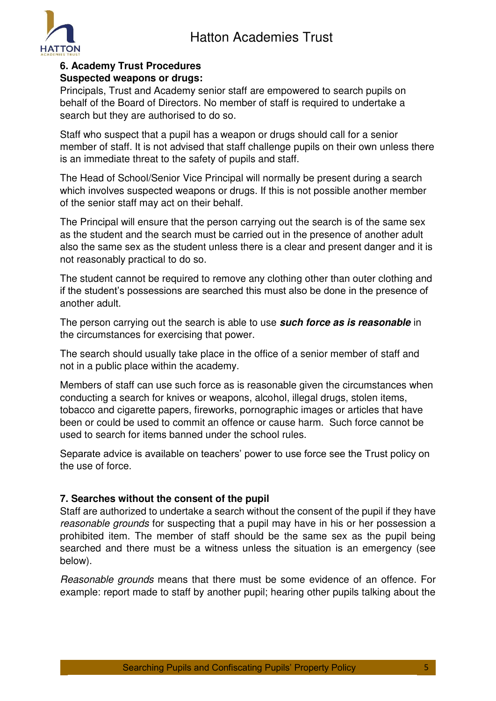

## <span id="page-4-0"></span>**6. Academy Trust Procedures Suspected weapons or drugs:**

Principals, Trust and Academy senior staff are empowered to search pupils on behalf of the Board of Directors. No member of staff is required to undertake a search but they are authorised to do so.

Staff who suspect that a pupil has a weapon or drugs should call for a senior member of staff. It is not advised that staff challenge pupils on their own unless there is an immediate threat to the safety of pupils and staff.

The Head of School/Senior Vice Principal will normally be present during a search which involves suspected weapons or drugs. If this is not possible another member of the senior staff may act on their behalf.

The Principal will ensure that the person carrying out the search is of the same sex as the student and the search must be carried out in the presence of another adult also the same sex as the student unless there is a clear and present danger and it is not reasonably practical to do so.

The student cannot be required to remove any clothing other than outer clothing and if the student's possessions are searched this must also be done in the presence of another adult.

The person carrying out the search is able to use *such force as is reasonable* in the circumstances for exercising that power.

The search should usually take place in the office of a senior member of staff and not in a public place within the academy.

Members of staff can use such force as is reasonable given the circumstances when conducting a search for knives or weapons, alcohol, illegal drugs, stolen items, tobacco and cigarette papers, fireworks, pornographic images or articles that have been or could be used to commit an offence or cause harm. Such force cannot be used to search for items banned under the school rules.

Separate advice is available on teachers' power to use force see the Trust policy on the use of force.

# <span id="page-4-1"></span>**7. Searches without the consent of the pupil**

Staff are authorized to undertake a search without the consent of the pupil if they have *reasonable grounds* for suspecting that a pupil may have in his or her possession a prohibited item. The member of staff should be the same sex as the pupil being searched and there must be a witness unless the situation is an emergency (see below).

*Reasonable grounds* means that there must be some evidence of an offence. For example: report made to staff by another pupil; hearing other pupils talking about the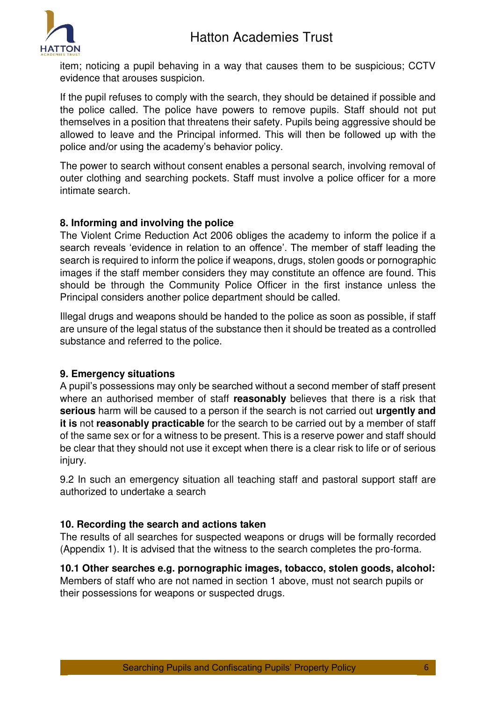

item; noticing a pupil behaving in a way that causes them to be suspicious; CCTV evidence that arouses suspicion.

If the pupil refuses to comply with the search, they should be detained if possible and the police called. The police have powers to remove pupils. Staff should not put themselves in a position that threatens their safety. Pupils being aggressive should be allowed to leave and the Principal informed. This will then be followed up with the police and/or using the academy's behavior policy.

The power to search without consent enables a personal search, involving removal of outer clothing and searching pockets. Staff must involve a police officer for a more intimate search.

# <span id="page-5-0"></span>**8. Informing and involving the police**

The Violent Crime Reduction Act 2006 obliges the academy to inform the police if a search reveals 'evidence in relation to an offence'. The member of staff leading the search is required to inform the police if weapons, drugs, stolen goods or pornographic images if the staff member considers they may constitute an offence are found. This should be through the Community Police Officer in the first instance unless the Principal considers another police department should be called.

Illegal drugs and weapons should be handed to the police as soon as possible, if staff are unsure of the legal status of the substance then it should be treated as a controlled substance and referred to the police.

#### <span id="page-5-1"></span>**9. Emergency situations**

A pupil's possessions may only be searched without a second member of staff present where an authorised member of staff **reasonably** believes that there is a risk that **serious** harm will be caused to a person if the search is not carried out **urgently and it is** not **reasonably practicable** for the search to be carried out by a member of staff of the same sex or for a witness to be present. This is a reserve power and staff should be clear that they should not use it except when there is a clear risk to life or of serious injury.

9.2 In such an emergency situation all teaching staff and pastoral support staff are authorized to undertake a search

# <span id="page-5-2"></span>**10. Recording the search and actions taken**

The results of all searches for suspected weapons or drugs will be formally recorded (Appendix 1). It is advised that the witness to the search completes the pro-forma.

<span id="page-5-3"></span>**10.1 Other searches e.g. pornographic images, tobacco, stolen goods, alcohol:**  Members of staff who are not named in section 1 above, must not search pupils or their possessions for weapons or suspected drugs.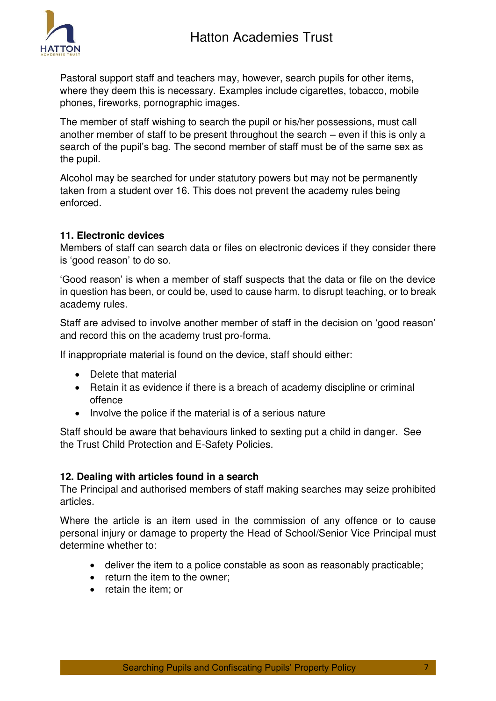

Pastoral support staff and teachers may, however, search pupils for other items, where they deem this is necessary. Examples include cigarettes, tobacco, mobile phones, fireworks, pornographic images.

The member of staff wishing to search the pupil or his/her possessions, must call another member of staff to be present throughout the search – even if this is only a search of the pupil's bag. The second member of staff must be of the same sex as the pupil.

Alcohol may be searched for under statutory powers but may not be permanently taken from a student over 16. This does not prevent the academy rules being enforced.

### <span id="page-6-0"></span>**11. Electronic devices**

Members of staff can search data or files on electronic devices if they consider there is 'good reason' to do so.

'Good reason' is when a member of staff suspects that the data or file on the device in question has been, or could be, used to cause harm, to disrupt teaching, or to break academy rules.

Staff are advised to involve another member of staff in the decision on 'good reason' and record this on the academy trust pro-forma.

If inappropriate material is found on the device, staff should either:

- Delete that material
- Retain it as evidence if there is a breach of academy discipline or criminal offence
- Involve the police if the material is of a serious nature

Staff should be aware that behaviours linked to sexting put a child in danger. See the Trust Child Protection and E-Safety Policies.

#### <span id="page-6-1"></span>**12. Dealing with articles found in a search**

The Principal and authorised members of staff making searches may seize prohibited articles.

Where the article is an item used in the commission of any offence or to cause personal injury or damage to property the Head of School/Senior Vice Principal must determine whether to:

- deliver the item to a police constable as soon as reasonably practicable;
- return the item to the owner:
- retain the item; or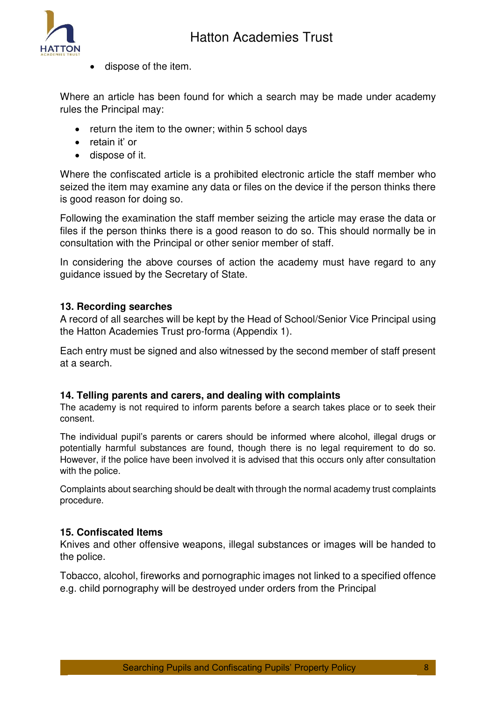

dispose of the item.

Where an article has been found for which a search may be made under academy rules the Principal may:

- return the item to the owner; within 5 school days
- retain it' or
- dispose of it.

Where the confiscated article is a prohibited electronic article the staff member who seized the item may examine any data or files on the device if the person thinks there is good reason for doing so.

Following the examination the staff member seizing the article may erase the data or files if the person thinks there is a good reason to do so. This should normally be in consultation with the Principal or other senior member of staff.

In considering the above courses of action the academy must have regard to any guidance issued by the Secretary of State.

# <span id="page-7-0"></span>**13. Recording searches**

A record of all searches will be kept by the Head of School/Senior Vice Principal using the Hatton Academies Trust pro-forma (Appendix 1).

Each entry must be signed and also witnessed by the second member of staff present at a search.

#### <span id="page-7-1"></span>**14. Telling parents and carers, and dealing with complaints**

The academy is not required to inform parents before a search takes place or to seek their consent.

The individual pupil's parents or carers should be informed where alcohol, illegal drugs or potentially harmful substances are found, though there is no legal requirement to do so. However, if the police have been involved it is advised that this occurs only after consultation with the police.

Complaints about searching should be dealt with through the normal academy trust complaints procedure.

# <span id="page-7-2"></span>**15. Confiscated Items**

Knives and other offensive weapons, illegal substances or images will be handed to the police.

Tobacco, alcohol, fireworks and pornographic images not linked to a specified offence e.g. child pornography will be destroyed under orders from the Principal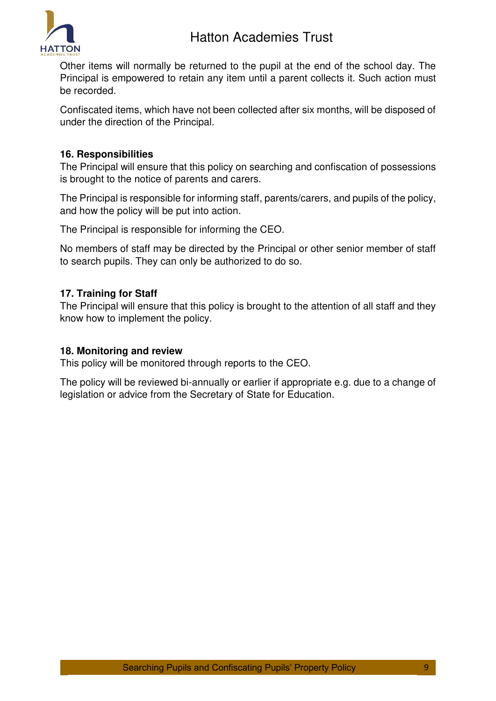

Other items will normally be returned to the pupil at the end of the school day. The Principal is empowered to retain any item until a parent collects it. Such action must be recorded.

Confiscated items, which have not been collected after six months, will be disposed of under the direction of the Principal.

## <span id="page-8-0"></span>**16. Responsibilities**

The Principal will ensure that this policy on searching and confiscation of possessions is brought to the notice of parents and carers.

The Principal is responsible for informing staff, parents/carers, and pupils of the policy, and how the policy will be put into action.

The Principal is responsible for informing the CEO.

No members of staff may be directed by the Principal or other senior member of staff to search pupils. They can only be authorized to do so.

#### <span id="page-8-1"></span>**17. Training for Staff**

The Principal will ensure that this policy is brought to the attention of all staff and they know how to implement the policy.

#### <span id="page-8-2"></span>**18. Monitoring and review**

This policy will be monitored through reports to the CEO.

The policy will be reviewed bi-annually or earlier if appropriate e.g. due to a change of legislation or advice from the Secretary of State for Education.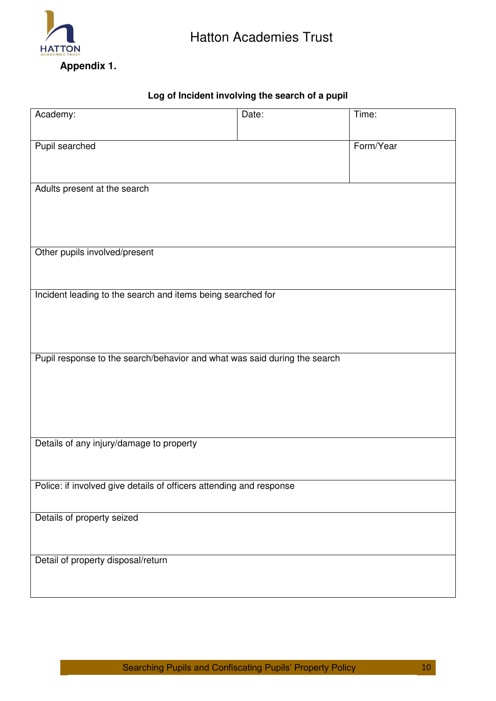

# **Log of Incident involving the search of a pupil**

<span id="page-9-0"></span>

| Academy:                                                                  | Date: | Time:     |  |
|---------------------------------------------------------------------------|-------|-----------|--|
|                                                                           |       |           |  |
| Pupil searched                                                            |       | Form/Year |  |
|                                                                           |       |           |  |
|                                                                           |       |           |  |
| Adults present at the search                                              |       |           |  |
|                                                                           |       |           |  |
|                                                                           |       |           |  |
| Other pupils involved/present                                             |       |           |  |
|                                                                           |       |           |  |
|                                                                           |       |           |  |
| Incident leading to the search and items being searched for               |       |           |  |
|                                                                           |       |           |  |
|                                                                           |       |           |  |
|                                                                           |       |           |  |
| Pupil response to the search/behavior and what was said during the search |       |           |  |
|                                                                           |       |           |  |
|                                                                           |       |           |  |
|                                                                           |       |           |  |
|                                                                           |       |           |  |
| Details of any injury/damage to property                                  |       |           |  |
|                                                                           |       |           |  |
|                                                                           |       |           |  |
| Police: if involved give details of officers attending and response       |       |           |  |
|                                                                           |       |           |  |
| Details of property seized                                                |       |           |  |
|                                                                           |       |           |  |
| Detail of property disposal/return                                        |       |           |  |
|                                                                           |       |           |  |
|                                                                           |       |           |  |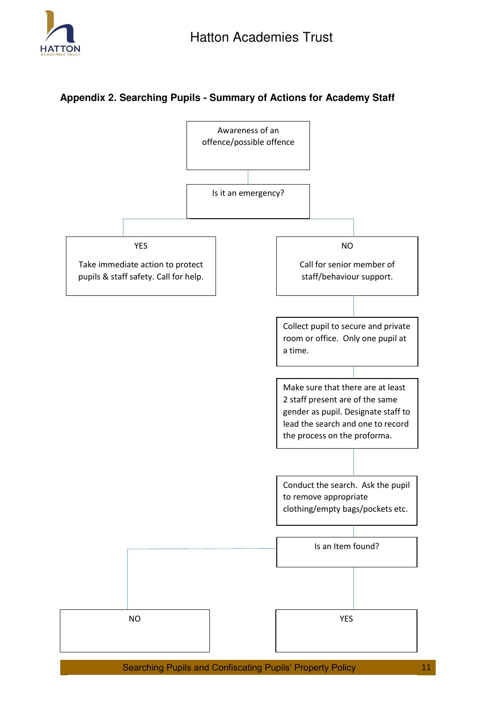

# <span id="page-10-0"></span>**Appendix 2. Searching Pupils - Summary of Actions for Academy Staff**